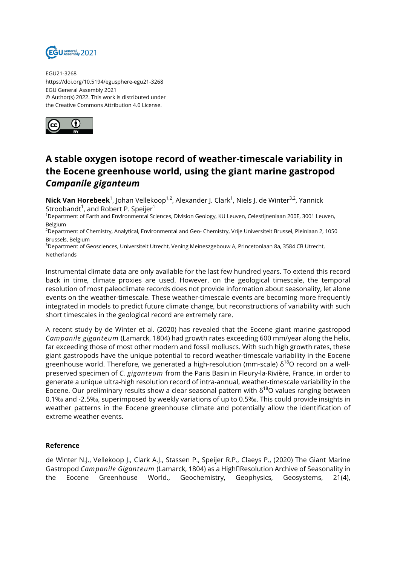

EGU21-3268 https://doi.org/10.5194/egusphere-egu21-3268 EGU General Assembly 2021 © Author(s) 2022. This work is distributed under the Creative Commons Attribution 4.0 License.



## **A stable oxygen isotope record of weather-timescale variability in the Eocene greenhouse world, using the giant marine gastropod**  *Campanile giganteum*

**Nick Van Horebeek**<sup>1</sup>, Johan Vellekoop<sup>1,2</sup>, Alexander J. Clark<sup>1</sup>, Niels J. de Winter<sup>3,2</sup>, Yannick Stroobandt $^1$ , and Robert P. Speijer $^1$ 

<sup>1</sup>Department of Earth and Environmental Sciences, Division Geology, KU Leuven, Celestijnenlaan 200E, 3001 Leuven, Belgium

 $2D$ epartment of Chemistry, Analytical, Environmental and Geo- Chemistry, Vrije Universiteit Brussel, Pleinlaan 2, 1050 Brussels, Belgium

<sup>3</sup>Department of Geosciences, Universiteit Utrecht, Vening Meineszgebouw A, Princetonlaan 8a, 3584 CB Utrecht, Netherlands

Instrumental climate data are only available for the last few hundred years. To extend this record back in time, climate proxies are used. However, on the geological timescale, the temporal resolution of most paleoclimate records does not provide information about seasonality, let alone events on the weather-timescale. These weather-timescale events are becoming more frequently integrated in models to predict future climate change, but reconstructions of variability with such short timescales in the geological record are extremely rare.

A recent study by de Winter et al. (2020) has revealed that the Eocene giant marine gastropod *Campanile giganteum* (Lamarck, 1804) had growth rates exceeding 600 mm/year along the helix, far exceeding those of most other modern and fossil molluscs. With such high growth rates, these giant gastropods have the unique potential to record weather-timescale variability in the Eocene greenhouse world. Therefore, we generated a high-resolution (mm-scale)  $\delta^{18}$ O record on a wellpreserved specimen of *C. giganteum* from the Paris Basin in Fleury-la-Rivière, France, in order to generate a unique ultra-high resolution record of intra-annual, weather-timescale variability in the Eocene. Our preliminary results show a clear seasonal pattern with  $\delta^{18}$ O values ranging between 0.1‰ and -2.5‰, superimposed by weekly variations of up to 0.5‰. This could provide insights in weather patterns in the Eocene greenhouse climate and potentially allow the identification of extreme weather events.

## **Reference**

de Winter N.J., Vellekoop J., Clark A.J., Stassen P., Speijer R.P., Claeys P., (2020) The Giant Marine Gastropod *Campanile Giganteum* (Lamarck, 1804) as a High<sup>[</sup>Resolution Archive of Seasonality in the Eocene Greenhouse World., Geochemistry, Geophysics, Geosystems, 21(4),